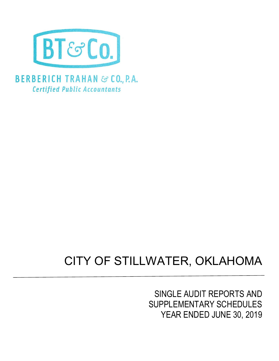

## **BERBERICH TRAHAN & CO., P.A. Certified Public Accountants**

# CITY OF STILLWATER, OKLAHOMA

SINGLE AUDIT REPORTS AND SUPPLEMENTARY SCHEDULES YEAR ENDED JUNE 30, 2019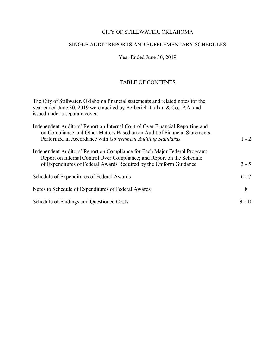#### SINGLE AUDIT REPORTS AND SUPPLEMENTARY SCHEDULES

Year Ended June 30, 2019

#### TABLE OF CONTENTS

| The City of Stillwater, Oklahoma financial statements and related notes for the<br>year ended June 30, 2019 were audited by Berberich Trahan & Co., P.A. and<br>issued under a separate cover.                                  |          |
|---------------------------------------------------------------------------------------------------------------------------------------------------------------------------------------------------------------------------------|----------|
| Independent Auditors' Report on Internal Control Over Financial Reporting and<br>on Compliance and Other Matters Based on an Audit of Financial Statements<br>Performed in Accordance with <i>Government Auditing Standards</i> | $1 - 2$  |
| Independent Auditors' Report on Compliance for Each Major Federal Program;<br>Report on Internal Control Over Compliance; and Report on the Schedule<br>of Expenditures of Federal Awards Required by the Uniform Guidance      | $3 - 5$  |
| Schedule of Expenditures of Federal Awards                                                                                                                                                                                      | $6 - 7$  |
| Notes to Schedule of Expenditures of Federal Awards                                                                                                                                                                             | 8        |
| Schedule of Findings and Questioned Costs                                                                                                                                                                                       | $9 - 10$ |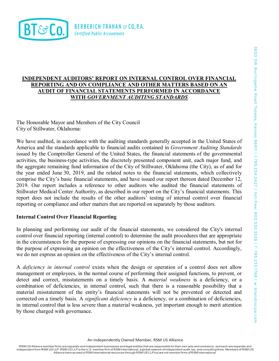

#### **INDEPENDENT AUDITORS' REPORT ON INTERNAL CONTROL OVER FINANCIAL REPORTING AND ON COMPLIANCE AND OTHER MATTERS BASED ON AN AUDIT OF FINANCIAL STATEMENTS PERFORMED IN ACCORDANCE WITH** *GOVERNMENT AUDITING STANDARDS*

The Honorable Mayor and Members of the City Council City of Stillwater, Oklahoma:

We have audited, in accordance with the auditing standards generally accepted in the United States of America and the standards applicable to financial audits contained in *Government Auditing Standards* issued by the Comptroller General of the United States, the financial statements of the governmental activities, the business-type activities, the discretely presented component unit, each major fund, and the aggregate remaining fund information of the City of Stillwater, Oklahoma (the City), as of and for the year ended June 30, 2019, and the related notes to the financial statements, which collectively comprise the City's basic financial statements, and have issued our report thereon dated December 12, 2019. Our report includes a reference to other auditors who audited the financial statements of Stillwater Medical Center Authority, as described in our report on the City's financial statements. This report does not include the results of the other auditors' testing of internal control over financial reporting or compliance and other matters that are reported on separately by those auditors.

#### **Internal Control Over Financial Reporting**

In planning and performing our audit of the financial statements, we considered the City's internal control over financial reporting (internal control) to determine the audit procedures that are appropriate in the circumstances for the purpose of expressing our opinions on the financial statements, but not for the purpose of expressing an opinion on the effectiveness of the City's internal control. Accordingly, we do not express an opinion on the effectiveness of the City's internal control.

A *deficiency in internal control* exists when the design or operation of a control does not allow management or employees, in the normal course of performing their assigned functions, to prevent, or detect and correct, misstatements on a timely basis. A *material weakness* is a deficiency, or a combination of deficiencies, in internal control, such that there is a reasonable possibility that a material misstatement of the entity's financial statements will not be prevented or detected and corrected on a timely basis. A *significant deficiency* is a deficiency, or a combination of deficiencies, in internal control that is less severe than a material weakness, yet important enough to merit attention by those charged with governance.

#### An Independently Owned Member, RSM US Alliance

RSM US Alliance member firms are separate and independent businesses and legal entities that are responsible for their own acts and omissions, and each are separate and independent from RSM US LLP. RSM US LLP is the U.S. member firm of RSM International, a global network of independent audit, tax, and consulting firms. Members of RSM US Alliance have access to RSM International resources through RSM US LLP but are not member firms of RSM International.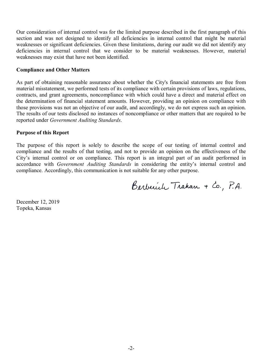Our consideration of internal control was for the limited purpose described in the first paragraph of this section and was not designed to identify all deficiencies in internal control that might be material weaknesses or significant deficiencies. Given these limitations, during our audit we did not identify any deficiencies in internal control that we consider to be material weaknesses. However, material weaknesses may exist that have not been identified.

#### **Compliance and Other Matters**

As part of obtaining reasonable assurance about whether the City's financial statements are free from material misstatement, we performed tests of its compliance with certain provisions of laws, regulations, contracts, and grant agreements, noncompliance with which could have a direct and material effect on the determination of financial statement amounts. However, providing an opinion on compliance with those provisions was not an objective of our audit, and accordingly, we do not express such an opinion. The results of our tests disclosed no instances of noncompliance or other matters that are required to be reported under *Government Auditing Standards*.

#### **Purpose of this Report**

The purpose of this report is solely to describe the scope of our testing of internal control and compliance and the results of that testing, and not to provide an opinion on the effectiveness of the City's internal control or on compliance. This report is an integral part of an audit performed in accordance with *Government Auditing Standards* in considering the entity's internal control and compliance. Accordingly, this communication is not suitable for any other purpose.

Berberich Trahan + Co., P.A.

December 12, 2019 Topeka, Kansas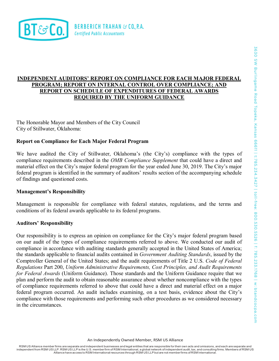

#### **INDEPENDENT AUDITORS' REPORT ON COMPLIANCE FOR EACH MAJOR FEDERAL PROGRAM; REPORT ON INTERNAL CONTROL OVER COMPLIANCE; AND REPORT ON SCHEDULE OF EXPENDITURES OF FEDERAL AWARDS REQUIRED BY THE UNIFORM GUIDANCE**

The Honorable Mayor and Members of the City Council City of Stillwater, Oklahoma:

#### **Report on Compliance for Each Major Federal Program**

We have audited the City of Stillwater, Oklahoma's (the City's) compliance with the types of compliance requirements described in the *OMB Compliance Supplement* that could have a direct and material effect on the City's major federal program for the year ended June 30, 2019. The City's major federal program is identified in the summary of auditors' results section of the accompanying schedule of findings and questioned costs.

#### **Management's Responsibility**

Management is responsible for compliance with federal statutes, regulations, and the terms and conditions of its federal awards applicable to its federal programs.

#### **Auditors' Responsibility**

Our responsibility is to express an opinion on compliance for the City's major federal program based on our audit of the types of compliance requirements referred to above. We conducted our audit of compliance in accordance with auditing standards generally accepted in the United States of America; the standards applicable to financial audits contained in *Government Auditing Standards*, issued by the Comptroller General of the United States; and the audit requirements of Title 2 U.S. *Code of Federal Regulations* Part 200, *Uniform Administrative Requirements, Cost Principles, and Audit Requirements for Federal Awards* (Uniform Guidance). Those standards and the Uniform Guidance require that we plan and perform the audit to obtain reasonable assurance about whether noncompliance with the types of compliance requirements referred to above that could have a direct and material effect on a major federal program occurred. An audit includes examining, on a test basis, evidence about the City's compliance with those requirements and performing such other procedures as we considered necessary in the circumstances.

#### An Independently Owned Member, RSM US Alliance

RSM US Alliance member firms are separate and independent businesses and legal entities that are responsible for their own acts and omissions, and each are separate and independent from RSM US LLP. RSM US LLP is the U.S. member firm of RSM International, a global network of independent audit, tax, and consulting firms. Members of RSM US Alliance have access to RSM International resources through RSM US LLP but are not member firms of RSM International.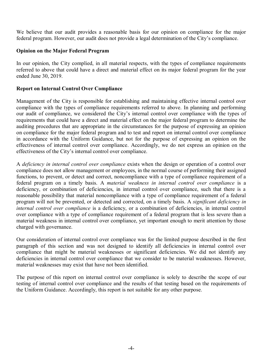We believe that our audit provides a reasonable basis for our opinion on compliance for the major federal program. However, our audit does not provide a legal determination of the City's compliance.

#### **Opinion on the Major Federal Program**

In our opinion, the City complied, in all material respects, with the types of compliance requirements referred to above that could have a direct and material effect on its major federal program for the year ended June 30, 2019.

#### **Report on Internal Control Over Compliance**

Management of the City is responsible for establishing and maintaining effective internal control over compliance with the types of compliance requirements referred to above. In planning and performing our audit of compliance, we considered the City's internal control over compliance with the types of requirements that could have a direct and material effect on the major federal program to determine the auditing procedures that are appropriate in the circumstances for the purpose of expressing an opinion on compliance for the major federal program and to test and report on internal control over compliance in accordance with the Uniform Guidance, but not for the purpose of expressing an opinion on the effectiveness of internal control over compliance. Accordingly, we do not express an opinion on the effectiveness of the City's internal control over compliance.

A *deficiency in internal control over compliance* exists when the design or operation of a control over compliance does not allow management or employees, in the normal course of performing their assigned functions, to prevent, or detect and correct, noncompliance with a type of compliance requirement of a federal program on a timely basis. A *material weakness in internal control over compliance* is a deficiency, or combination of deficiencies, in internal control over compliance, such that there is a reasonable possibility that material noncompliance with a type of compliance requirement of a federal program will not be prevented, or detected and corrected, on a timely basis. A *significant deficiency in internal control over compliance* is a deficiency, or a combination of deficiencies, in internal control over compliance with a type of compliance requirement of a federal program that is less severe than a material weakness in internal control over compliance, yet important enough to merit attention by those charged with governance.

Our consideration of internal control over compliance was for the limited purpose described in the first paragraph of this section and was not designed to identify all deficiencies in internal control over compliance that might be material weaknesses or significant deficiencies. We did not identify any deficiencies in internal control over compliance that we consider to be material weaknesses. However, material weaknesses may exist that have not been identified.

The purpose of this report on internal control over compliance is solely to describe the scope of our testing of internal control over compliance and the results of that testing based on the requirements of the Uniform Guidance. Accordingly, this report is not suitable for any other purpose.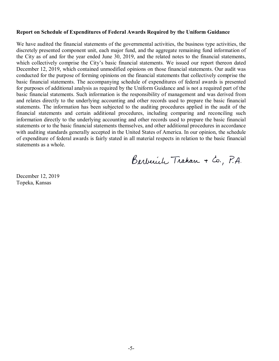#### **Report on Schedule of Expenditures of Federal Awards Required by the Uniform Guidance**

We have audited the financial statements of the governmental activities, the business type activities, the discretely presented component unit, each major fund, and the aggregate remaining fund information of the City as of and for the year ended June 30, 2019, and the related notes to the financial statements, which collectively comprise the City's basic financial statements. We issued our report thereon dated December 12, 2019, which contained unmodified opinions on those financial statements. Our audit was conducted for the purpose of forming opinions on the financial statements that collectively comprise the basic financial statements. The accompanying schedule of expenditures of federal awards is presented for purposes of additional analysis as required by the Uniform Guidance and is not a required part of the basic financial statements. Such information is the responsibility of management and was derived from and relates directly to the underlying accounting and other records used to prepare the basic financial statements. The information has been subjected to the auditing procedures applied in the audit of the financial statements and certain additional procedures, including comparing and reconciling such information directly to the underlying accounting and other records used to prepare the basic financial statements or to the basic financial statements themselves, and other additional procedures in accordance with auditing standards generally accepted in the United States of America. In our opinion, the schedule of expenditure of federal awards is fairly stated in all material respects in relation to the basic financial statements as a whole.

Berberich Trahan + Co., P.A.

December 12, 2019 Topeka, Kansas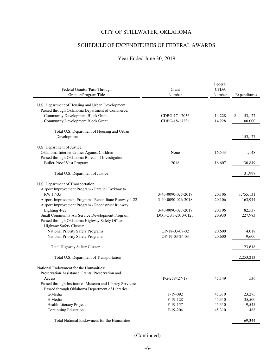#### SCHEDULE OF EXPENDITURES OF FEDERAL AWARDS

## Year Ended June 30, 2019

| Federal Grantor/Pass-Through                                                                         | Grant              | Federal<br><b>CFDA</b> |              |
|------------------------------------------------------------------------------------------------------|--------------------|------------------------|--------------|
| Grantor/Program Title                                                                                | Number             | Number                 | Expenditures |
| U.S. Department of Housing and Urban Development:<br>Passed through Oklahoma Department of Commerce: |                    |                        |              |
| <b>Community Development Block Grant</b>                                                             | CDBG-17-17036      | 14.228                 | \$<br>53,127 |
| <b>Community Development Block Grant</b>                                                             | CDBG-18-17286      | 14.228                 | 100,000      |
| Total U.S. Department of Housing and Urban                                                           |                    |                        |              |
| Development                                                                                          |                    |                        | 153,127      |
| U.S. Department of Justice:                                                                          |                    |                        |              |
| Oklahoma Internet Crimes Against Children                                                            | None               | 16.543                 | 1,148        |
| Passed through Oklahoma Bureau of Investigation:                                                     |                    |                        |              |
| <b>Bullet-Proof Vest Program</b>                                                                     | 2018               | 16.607                 | 30,849       |
| Total U.S. Department of Justice                                                                     |                    |                        | 31,997       |
| U.S. Department of Transportation:                                                                   |                    |                        |              |
| Airport Improvement Program - Parallel Taxiway to                                                    |                    |                        |              |
| RW 17-35                                                                                             | 3-40-0090-025-2017 | 20.106                 | 1,755,131    |
| Airport Improvement Program - Rehabilitate Runway 4-22                                               | 3-40-0090-026-2018 | 20.106                 | 163,944      |
| Airport Improvement Program - Reconstruct Runway                                                     |                    |                        |              |
| Lighting 4-22                                                                                        | 3-40-0090-027-2018 | 20.106                 | 82,537       |
| Small Community Air Service Development Program                                                      | DOT-OST-2013-0120  | 20.930                 | 227,983      |
| Passed through Oklahoma Highway Safety Office:                                                       |                    |                        |              |
| Highway Safety Cluster:                                                                              |                    |                        |              |
| National Priority Safety Programs                                                                    | OP-18-03-09-02     | 20.600                 | 4,018        |
| National Priority Safety Programs                                                                    | OP-19-03-26-03     | 20.600                 | 19,600       |
| Total Highway Safety Cluster                                                                         |                    |                        | 23,618       |
| Total U.S. Department of Transportation                                                              |                    |                        | 2,253,213    |
| National Endowment for the Humanities:                                                               |                    |                        |              |
| Preservation Assistance Grants, Preservation and                                                     |                    |                        |              |
| Access                                                                                               | PG-258427-18       | 45.149                 | 536          |
| Passed through Institute of Museum and Library Services:                                             |                    |                        |              |
| Passed through Oklahoma Department of Libraries:                                                     |                    |                        |              |
| E-Media                                                                                              | F-19-092           | 45.310                 | 23,275       |
| E-Media                                                                                              | $F-19-128$         | 45.310                 | 35,500       |
| Health Literacy Project                                                                              | $F-19-157$         | 45.310                 | 9,545        |
| Continuing Education                                                                                 | $F-19-204$         | 45.310                 | 488          |
| Total National Endowment for the Humanities                                                          |                    |                        | 69,344       |

(Continued)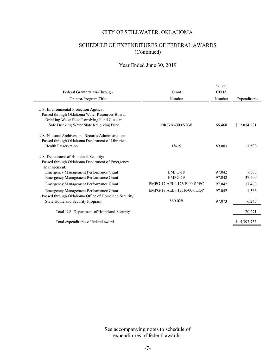#### (Continued) SCHEDULE OF EXPENDITURES OF FEDERAL AWARDS

#### Year Ended June 30, 2019

|                                                      |                          | Federal     |              |
|------------------------------------------------------|--------------------------|-------------|--------------|
| Federal Grantor/Pass-Through                         | Grant                    | <b>CFDA</b> |              |
| Grantor/Program Title                                | Number                   | Number      | Expenditures |
| U.S. Environmental Protection Agency:                |                          |             |              |
| Passed through Oklahoma Water Resources Board:       |                          |             |              |
| Drinking Water State Revolving Fund Cluster:         |                          |             |              |
| Safe Drinking Water State Revolving Fund             | ORF-16-0007-DW           | 66.468      | \$2,814,281  |
| U.S. National Archives and Records Administration:   |                          |             |              |
| Passed through Oklahoma Department of Libraries:     |                          |             |              |
| <b>Health Preservation</b>                           | $18-19$                  | 89.003      | 1,500        |
| U.S. Department of Homeland Security:                |                          |             |              |
| Passed through Oklahoma Department of Emergency      |                          |             |              |
| Management:                                          |                          |             |              |
| Emergency Management Performance Grant               | $EMPG-18$                | 97.042      | 7,500        |
| <b>Emergency Management Performance Grant</b>        | EMPG-19                  | 97.042      | 37,500       |
| Emergency Management Performance Grant               | EMPG-17 AEL#12VE-00-SPEC | 97.042      | 17,460       |
| Emergency Management Performance Grant               | EMPG-17 AEL#12TR-00-TEQP | 97.042      | 1,566        |
| Passed through Oklahoma Office of Homeland Security: |                          |             |              |
| <b>State Homeland Security Program</b>               | 860.029                  | 97.073      | 6,245        |
| Total U.S. Department of Homeland Security           |                          |             | 70,271       |
| Total expenditures of federal awards                 |                          |             | 5,393,733    |

See accompanying notes to schedule of expenditures of federal awards.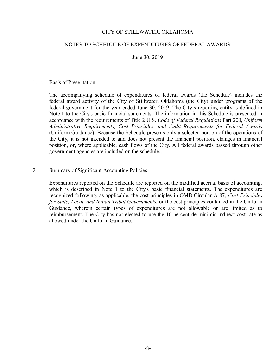#### NOTES TO SCHEDULE OF EXPENDITURES OF FEDERAL AWARDS

June 30, 2019

#### 1 - Basis of Presentation

 The accompanying schedule of expenditures of federal awards (the Schedule) includes the federal award activity of the City of Stillwater, Oklahoma (the City) under programs of the federal government for the year ended June 30, 2019. The City's reporting entity is defined in Note 1 to the City's basic financial statements. The information in this Schedule is presented in accordance with the requirements of Title 2 U.S. *Code of Federal Regulations* Part 200, *Uniform Administrative Requirements, Cost Principles, and Audit Requirements for Federal Awards* (Uniform Guidance). Because the Schedule presents only a selected portion of the operations of the City, it is not intended to and does not present the financial position, changes in financial position, or, where applicable, cash flows of the City. All federal awards passed through other government agencies are included on the schedule.

#### 2 - Summary of Significant Accounting Policies

 Expenditures reported on the Schedule are reported on the modified accrual basis of accounting, which is described in Note 1 to the City's basic financial statements. The expenditures are recognized following, as applicable, the cost principles in OMB Circular A-87, *Cost Principles for State, Local, and Indian Tribal Governments*, or the cost principles contained in the Uniform Guidance, wherein certain types of expenditures are not allowable or are limited as to reimbursement. The City has not elected to use the 10-percent de minimis indirect cost rate as allowed under the Uniform Guidance.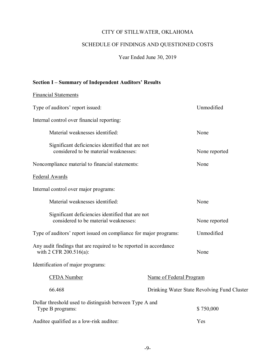#### SCHEDULE OF FINDINGS AND QUESTIONED COSTS

Year Ended June 30, 2019

#### **Section I – Summary of Independent Auditors' Results**

#### Financial Statements

| Type of auditors' report issued:                                                            |                         | Unmodified                                  |
|---------------------------------------------------------------------------------------------|-------------------------|---------------------------------------------|
| Internal control over financial reporting:                                                  |                         |                                             |
| Material weaknesses identified:                                                             |                         | None                                        |
| Significant deficiencies identified that are not<br>considered to be material weaknesses:   |                         | None reported                               |
| Noncompliance material to financial statements:                                             |                         | None                                        |
| Federal Awards                                                                              |                         |                                             |
| Internal control over major programs:                                                       |                         |                                             |
| Material weaknesses identified:                                                             |                         | None                                        |
| Significant deficiencies identified that are not<br>considered to be material weaknesses:   |                         | None reported                               |
| Type of auditors' report issued on compliance for major programs:                           |                         | Unmodified                                  |
| Any audit findings that are required to be reported in accordance<br>with 2 CFR 200.516(a): |                         | None                                        |
| Identification of major programs:                                                           |                         |                                             |
| <b>CFDA</b> Number                                                                          | Name of Federal Program |                                             |
| 66.468                                                                                      |                         | Drinking Water State Revolving Fund Cluster |
| Dollar threshold used to distinguish between Type A and<br>Type B programs:                 |                         | \$750,000                                   |
| Auditee qualified as a low-risk auditee:                                                    |                         | Yes                                         |